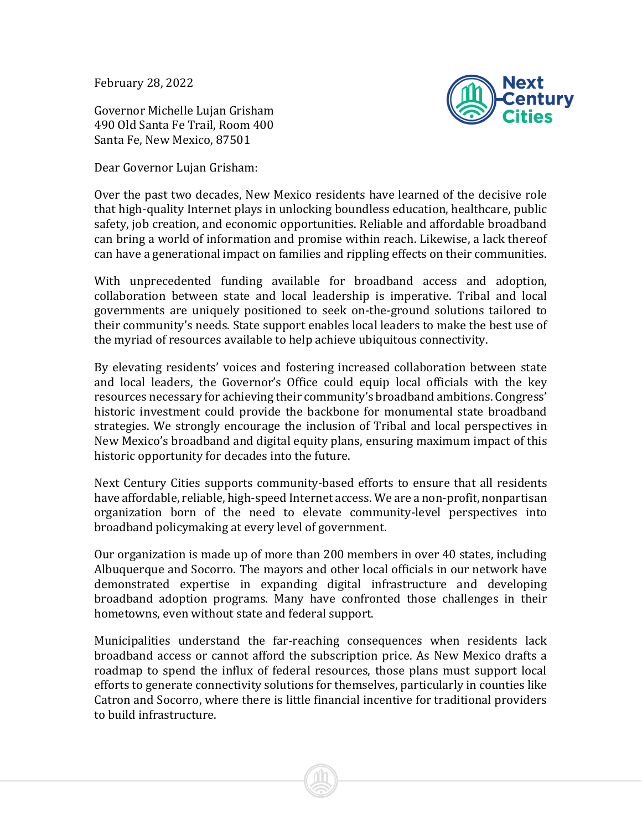February 28, 2022

Governor Michelle Lujan Grisham 490 Old Santa Fe Trail, Room 400 Santa Fe, New Mexico, 87501

Dear Governor Lujan Grisham:



Over the past two decades, New Mexico residents have learned of the decisive role that high-quality Internet plays in unlocking boundless education, healthcare, public safety, job creation, and economic opportunities. Reliable and affordable broadband can bring a world of information and promise within reach. Likewise, a lack thereof can have a generational impact on families and rippling effects on their communities.

With unprecedented funding available for broadband access and adoption, collaboration between state and local leadership is imperative. Tribal and local governments are uniquely positioned to seek on-the-ground solutions tailored to their community's needs. State support enables local leaders to make the best use of the myriad of resources available to help achieve ubiquitous connectivity.

By elevating residents' voices and fostering increased collaboration between state and local leaders, the Governor's Office could equip local officials with the key resources necessary for achieving their community's broadband ambitions. Congress' historic investment could provide the backbone for monumental state broadband strategies. We strongly encourage the inclusion of Tribal and local perspectives in New Mexico's broadband and digital equity plans, ensuring maximum impact of this historic opportunity for decades into the future.

Next Century Cities supports community-based efforts to ensure that all residents have affordable, reliable, high-speed Internet access. We are a non-profit, nonpartisan organization born of the need to elevate community-level perspectives into broadband policymaking at every level of government.

Our organization is made up of more than 200 members in over 40 states, including Albuquerque and Socorro. The mayors and other local officials in our network have demonstrated expertise in expanding digital infrastructure and developing broadband adoption programs. Many have confronted those challenges in their hometowns, even without state and federal support.

Municipalities understand the far-reaching consequences when residents lack broadband access or cannot afford the subscription price. As New Mexico drafts a roadmap to spend the influx of federal resources, those plans must support local efforts to generate connectivity solutions for themselves, particularly in counties like Catron and Socorro, where there is little financial incentive for traditional providers to build infrastructure.